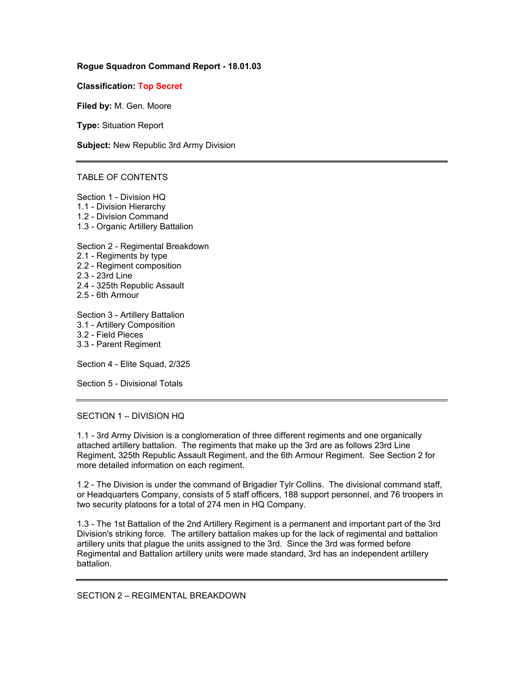## **Rogue Squadron Command Report - 18.01.03**

**Classification: Top Secret**

**Filed by:** M. Gen. Moore

**Type:** Situation Report

**Subject:** New Republic 3rd Army Division

#### TABLE OF CONTENTS

Section 1 - Division HQ 1.1 - Division Hierarchy 1.2 - Division Command 1.3 - Organic Artillery Battalion

Section 2 - Regimental Breakdown

- 2.1 Regiments by type
- 2.2 Regiment composition
- 2.3 23rd Line
- 2.4 325th Republic Assault
- 2.5 6th Armour

Section 3 - Artillery Battalion 3.1 - Artillery Composition 3.2 - Field Pieces 3.3 - Parent Regiment

Section 4 - Elite Squad, 2/325

Section 5 - Divisional Totals

### SECTION 1 – DIVISION HQ

1.1 - 3rd Army Division is a conglomeration of three different regiments and one organically attached artillery battalion. The regiments that make up the 3rd are as follows 23rd Line Regiment, 325th Republic Assault Regiment, and the 6th Armour Regiment. See Section 2 for more detailed information on each regiment.

1.2 - The Division is under the command of Brigadier Tylr Collins. The divisional command staff, or Headquarters Company, consists of 5 staff officers, 188 support personnel, and 76 troopers in two security platoons for a total of 274 men in HQ Company.

1.3 - The 1st Battalion of the 2nd Artillery Regiment is a permanent and important part of the 3rd Division's striking force. The artillery battalion makes up for the lack of regimental and battalion artillery units that plague the units assigned to the 3rd. Since the 3rd was formed before Regimental and Battalion artillery units were made standard, 3rd has an independent artillery battalion.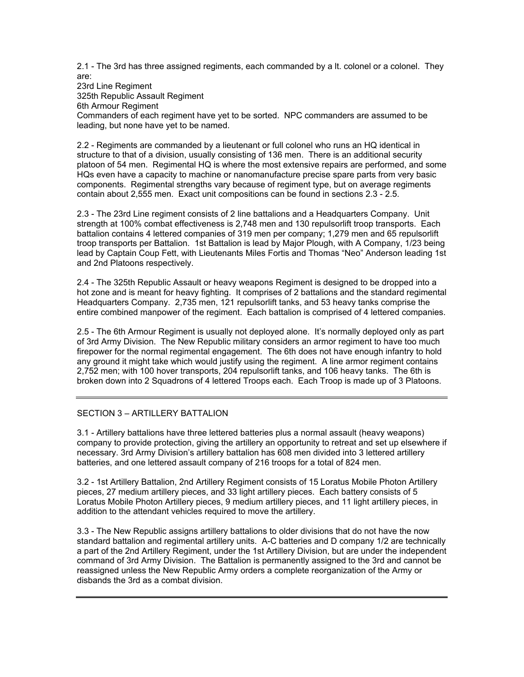2.1 - The 3rd has three assigned regiments, each commanded by a lt. colonel or a colonel. They are:

23rd Line Regiment 325th Republic Assault Regiment 6th Armour Regiment Commanders of each regiment have yet to be sorted. NPC commanders are assumed to be leading, but none have yet to be named.

2.2 - Regiments are commanded by a lieutenant or full colonel who runs an HQ identical in structure to that of a division, usually consisting of 136 men. There is an additional security platoon of 54 men. Regimental HQ is where the most extensive repairs are performed, and some HQs even have a capacity to machine or nanomanufacture precise spare parts from very basic components. Regimental strengths vary because of regiment type, but on average regiments contain about 2,555 men. Exact unit compositions can be found in sections 2.3 - 2.5.

2.3 - The 23rd Line regiment consists of 2 line battalions and a Headquarters Company. Unit strength at 100% combat effectiveness is 2,748 men and 130 repulsorlift troop transports. Each battalion contains 4 lettered companies of 319 men per company; 1,279 men and 65 repulsorlift troop transports per Battalion. 1st Battalion is lead by Major Plough, with A Company, 1/23 being lead by Captain Coup Fett, with Lieutenants Miles Fortis and Thomas "Neo" Anderson leading 1st and 2nd Platoons respectively.

2.4 - The 325th Republic Assault or heavy weapons Regiment is designed to be dropped into a hot zone and is meant for heavy fighting. It comprises of 2 battalions and the standard regimental Headquarters Company. 2,735 men, 121 repulsorlift tanks, and 53 heavy tanks comprise the entire combined manpower of the regiment. Each battalion is comprised of 4 lettered companies.

2.5 - The 6th Armour Regiment is usually not deployed alone. It's normally deployed only as part of 3rd Army Division. The New Republic military considers an armor regiment to have too much firepower for the normal regimental engagement. The 6th does not have enough infantry to hold any ground it might take which would justify using the regiment. A line armor regiment contains 2,752 men; with 100 hover transports, 204 repulsorlift tanks, and 106 heavy tanks. The 6th is broken down into 2 Squadrons of 4 lettered Troops each. Each Troop is made up of 3 Platoons.

# SECTION 3 – ARTILLERY BATTALION

3.1 - Artillery battalions have three lettered batteries plus a normal assault (heavy weapons) company to provide protection, giving the artillery an opportunity to retreat and set up elsewhere if necessary. 3rd Army Division's artillery battalion has 608 men divided into 3 lettered artillery batteries, and one lettered assault company of 216 troops for a total of 824 men.

3.2 - 1st Artillery Battalion, 2nd Artillery Regiment consists of 15 Loratus Mobile Photon Artillery pieces, 27 medium artillery pieces, and 33 light artillery pieces. Each battery consists of 5 Loratus Mobile Photon Artillery pieces, 9 medium artillery pieces, and 11 light artillery pieces, in addition to the attendant vehicles required to move the artillery.

3.3 - The New Republic assigns artillery battalions to older divisions that do not have the now standard battalion and regimental artillery units. A-C batteries and D company 1/2 are technically a part of the 2nd Artillery Regiment, under the 1st Artillery Division, but are under the independent command of 3rd Army Division. The Battalion is permanently assigned to the 3rd and cannot be reassigned unless the New Republic Army orders a complete reorganization of the Army or disbands the 3rd as a combat division.